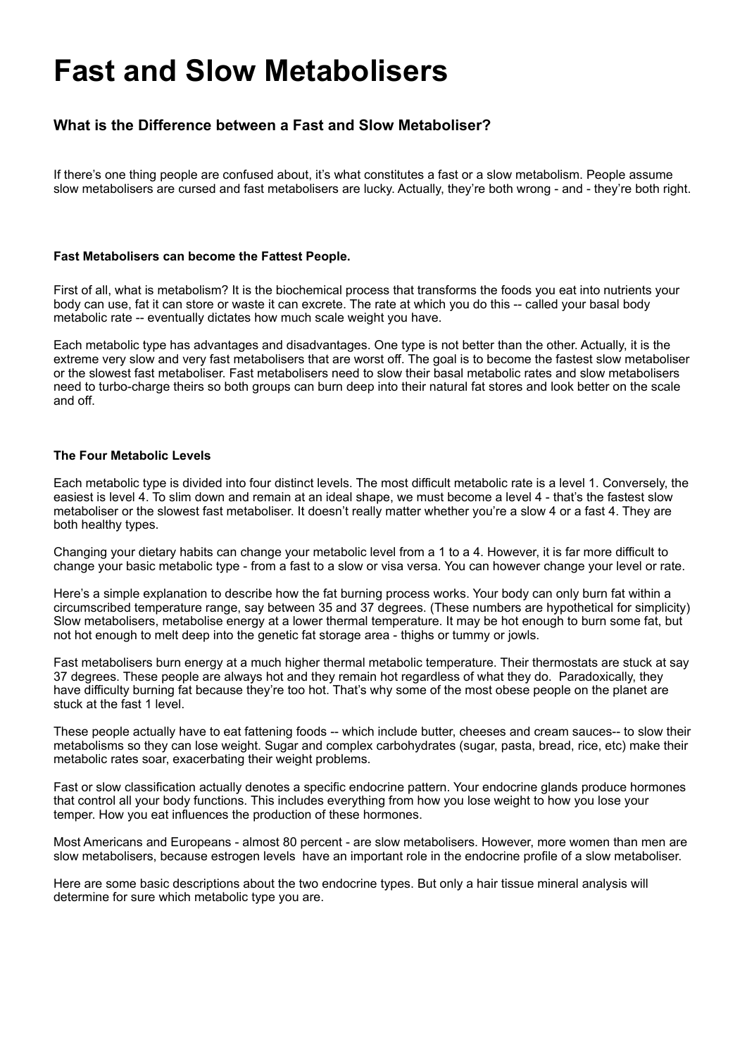# **Fast and Slow Metabolisers**

# **What is the Difference between a Fast and Slow Metaboliser?**

If there's one thing people are confused about, it's what constitutes a fast or a slow metabolism. People assume slow metabolisers are cursed and fast metabolisers are lucky. Actually, they're both wrong - and - they're both right.

## **Fast Metabolisers can become the Fattest People.**

First of all, what is metabolism? It is the biochemical process that transforms the foods you eat into nutrients your body can use, fat it can store or waste it can excrete. The rate at which you do this -- called your basal body metabolic rate -- eventually dictates how much scale weight you have.

Each metabolic type has advantages and disadvantages. One type is not better than the other. Actually, it is the extreme very slow and very fast metabolisers that are worst off. The goal is to become the fastest slow metaboliser or the slowest fast metaboliser. Fast metabolisers need to slow their basal metabolic rates and slow metabolisers need to turbo-charge theirs so both groups can burn deep into their natural fat stores and look better on the scale and off.

#### **The Four Metabolic Levels**

Each metabolic type is divided into four distinct levels. The most difficult metabolic rate is a level 1. Conversely, the easiest is level 4. To slim down and remain at an ideal shape, we must become a level 4 - that's the fastest slow metaboliser or the slowest fast metaboliser. It doesn't really matter whether you're a slow 4 or a fast 4. They are both healthy types.

Changing your dietary habits can change your metabolic level from a 1 to a 4. However, it is far more difficult to change your basic metabolic type - from a fast to a slow or visa versa. You can however change your level or rate.

Here's a simple explanation to describe how the fat burning process works. Your body can only burn fat within a circumscribed temperature range, say between 35 and 37 degrees. (These numbers are hypothetical for simplicity) Slow metabolisers, metabolise energy at a lower thermal temperature. It may be hot enough to burn some fat, but not hot enough to melt deep into the genetic fat storage area - thighs or tummy or jowls.

Fast metabolisers burn energy at a much higher thermal metabolic temperature. Their thermostats are stuck at say 37 degrees. These people are always hot and they remain hot regardless of what they do. Paradoxically, they have difficulty burning fat because they're too hot. That's why some of the most obese people on the planet are stuck at the fast 1 level.

These people actually have to eat fattening foods -- which include butter, cheeses and cream sauces-- to slow their metabolisms so they can lose weight. Sugar and complex carbohydrates (sugar, pasta, bread, rice, etc) make their metabolic rates soar, exacerbating their weight problems.

Fast or slow classification actually denotes a specific endocrine pattern. Your endocrine glands produce hormones that control all your body functions. This includes everything from how you lose weight to how you lose your temper. How you eat influences the production of these hormones.

Most Americans and Europeans - almost 80 percent - are slow metabolisers. However, more women than men are slow metabolisers, because estrogen levels have an important role in the endocrine profile of a slow metaboliser.

Here are some basic descriptions about the two endocrine types. But only a hair tissue mineral analysis will determine for sure which metabolic type you are.